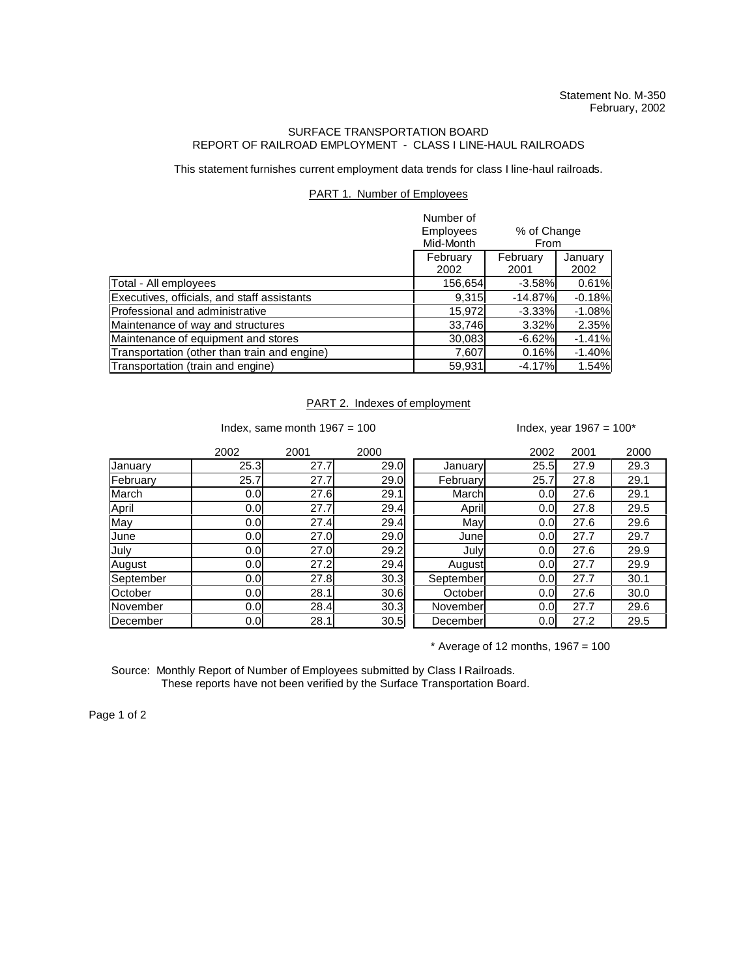## SURFACE TRANSPORTATION BOARD REPORT OF RAILROAD EMPLOYMENT - CLASS I LINE-HAUL RAILROADS

This statement furnishes current employment data trends for class I line-haul railroads.

## PART 1. Number of Employees

|                                              | Number of<br>Employees<br>% of Change<br>Mid-Month<br>From |                  |                 |
|----------------------------------------------|------------------------------------------------------------|------------------|-----------------|
|                                              | February<br>2002                                           | February<br>2001 | January<br>2002 |
| Total - All employees                        | 156,654                                                    | $-3.58%$         | 0.61%           |
| Executives, officials, and staff assistants  | 9.315                                                      | $-14.87%$        | $-0.18%$        |
| Professional and administrative              | 15,972                                                     | $-3.33%$         | $-1.08%$        |
| Maintenance of way and structures            | 33,746                                                     | 3.32%            | 2.35%           |
| Maintenance of equipment and stores          | 30,083                                                     | $-6.62%$         | $-1.41%$        |
| Transportation (other than train and engine) | 7,607                                                      | 0.16%            | $-1.40%$        |
| Transportation (train and engine)            | 59,931                                                     | $-4.17%$         | 1.54%           |

## PART 2. Indexes of employment

Index, same month  $1967 = 100$  Index, year  $1967 = 100*$ 

|           | 2002 | 2001 | 2000 |           | 2002             | 2001 | 2000 |
|-----------|------|------|------|-----------|------------------|------|------|
| January   | 25.3 | 27.7 | 29.0 | January   | 25.5             | 27.9 | 29.3 |
| February  | 25.7 | 27.7 | 29.0 | February  | 25.7             | 27.8 | 29.1 |
| March     | 0.0  | 27.6 | 29.1 | March     | 0.0              | 27.6 | 29.1 |
| April     | 0.0  | 27.7 | 29.4 | April     | 0.0              | 27.8 | 29.5 |
| May       | 0.0  | 27.4 | 29.4 | May       | 0.0              | 27.6 | 29.6 |
| June      | 0.0  | 27.0 | 29.0 | Junel     | 0.0              | 27.7 | 29.7 |
| July      | 0.0  | 27.0 | 29.2 | July      | 0.0              | 27.6 | 29.9 |
| August    | 0.0  | 27.2 | 29.4 | August    | 0.0              | 27.7 | 29.9 |
| September | 0.0  | 27.8 | 30.3 | September | 0.0              | 27.7 | 30.1 |
| October   | 0.0  | 28.1 | 30.6 | October   | 0.0              | 27.6 | 30.0 |
| November  | 0.0  | 28.4 | 30.3 | November  | 0.0              | 27.7 | 29.6 |
| December  | 0.0  | 28.1 | 30.5 | December  | 0.0 <sub>l</sub> | 27.2 | 29.5 |

 $*$  Average of 12 months, 1967 = 100

Source: Monthly Report of Number of Employees submitted by Class I Railroads. These reports have not been verified by the Surface Transportation Board.

Page 1 of 2